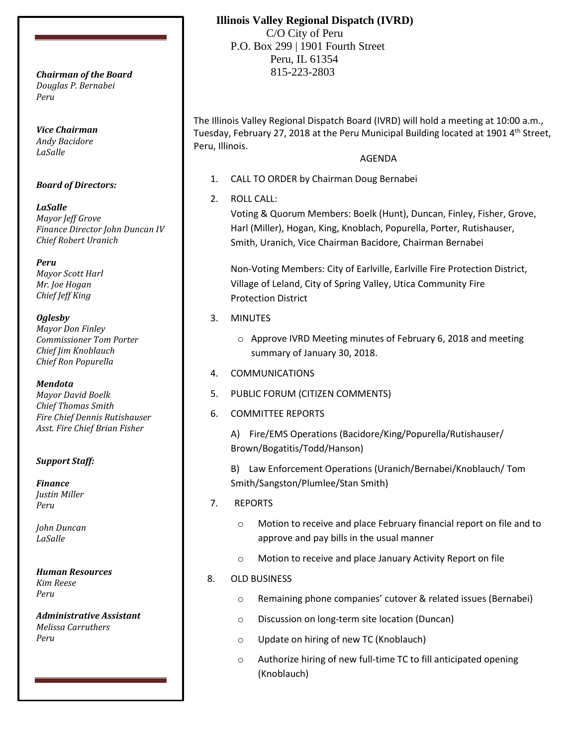*Douglas P. Bernabei Peru*

*Vice Chairman Andy Bacidore LaSalle*

#### *Board of Directors:*

*LaSalle Mayor Jeff Grove Finance Director John Duncan IV Chief Robert Uranich*

*Peru Mayor Scott Harl Mr. Joe Hogan Chief Jeff King*

#### *Oglesby*

*Mayor Don Finley Commissioner Tom Porter Chief Jim Knoblauch Chief Ron Popurella*

#### *Mendota*

*Mayor David Boelk Chief Thomas Smith Fire Chief Dennis Rutishauser Asst. Fire Chief Brian Fisher*

### *Support Staff:*

*Finance Justin Miller Peru*

*John Duncan LaSalle*

*Human Resources Kim Reese Peru*

*Administrative Assistant Melissa Carruthers Peru*

# **Illinois Valley Regional Dispatch (IVRD)**

 C/O City of Peru P.O. Box 299 | 1901 Fourth Street Peru, IL 61354 815-223-2803 *Chairman of the Board*

> The Illinois Valley Regional Dispatch Board (IVRD) will hold a meeting at 10:00 a.m., Tuesday, February 27, 2018 at the Peru Municipal Building located at 1901 4<sup>th</sup> Street, Peru, Illinois.

## AGENDA

- 1. CALL TO ORDER by Chairman Doug Bernabei
- 2. ROLL CALL:

Voting & Quorum Members: Boelk (Hunt), Duncan, Finley, Fisher, Grove, Harl (Miller), Hogan, King, Knoblach, Popurella, Porter, Rutishauser, Smith, Uranich, Vice Chairman Bacidore, Chairman Bernabei

Non-Voting Members: City of Earlville, Earlville Fire Protection District, Village of Leland, City of Spring Valley, Utica Community Fire Protection District

- 3. MINUTES
	- o Approve IVRD Meeting minutes of February 6, 2018 and meeting summary of January 30, 2018.
- 4. COMMUNICATIONS
- 5. PUBLIC FORUM (CITIZEN COMMENTS)
- 6. COMMITTEE REPORTS

A) Fire/EMS Operations (Bacidore/King/Popurella/Rutishauser/ Brown/Bogatitis/Todd/Hanson)

B) Law Enforcement Operations (Uranich/Bernabei/Knoblauch/ Tom Smith/Sangston/Plumlee/Stan Smith)

- 7. REPORTS
	- o Motion to receive and place February financial report on file and to approve and pay bills in the usual manner
	- o Motion to receive and place January Activity Report on file
- 8. OLD BUSINESS
	- o Remaining phone companies' cutover & related issues (Bernabei)
	- o Discussion on long-term site location (Duncan)
	- o Update on hiring of new TC (Knoblauch)
	- o Authorize hiring of new full-time TC to fill anticipated opening (Knoblauch)